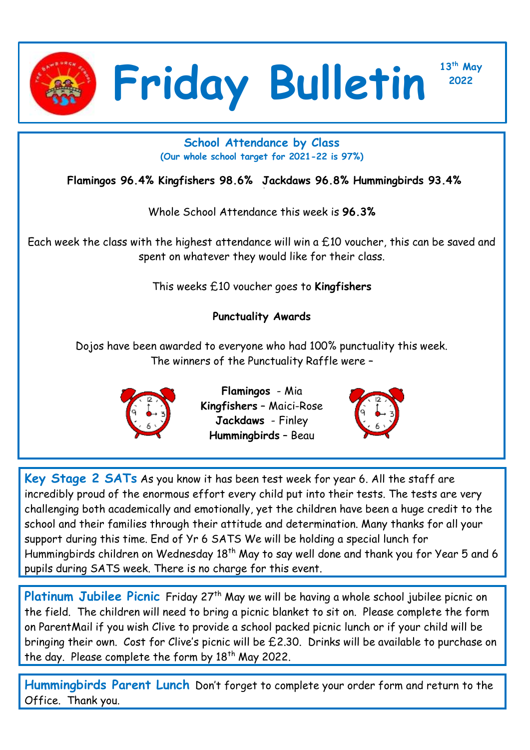

**<sup>2022</sup> Friday Bulletin**

**13th May**

## **School Attendance by Class (Our whole school target for 2021-22 is 97%)**

**Flamingos 96.4% Kingfishers 98.6% Jackdaws 96.8% Hummingbirds 93.4%**

Whole School Attendance this week is **96.3%**

Each week the class with the highest attendance will win a £10 voucher, this can be saved and spent on whatever they would like for their class.

This weeks £10 voucher goes to **Kingfishers**

## **Punctuality Awards**

Dojos have been awarded to everyone who had 100% punctuality this week. The winners of the Punctuality Raffle were –



**Flamingos** - Mia **Kingfishers** – Maici-Rose **Jackdaws** - Finley **Hummingbirds** – Beau



**Key Stage 2 SATs** As you know it has been test week for year 6. All the staff are incredibly proud of the enormous effort every child put into their tests. The tests are very challenging both academically and emotionally, yet the children have been a huge credit to the school and their families through their attitude and determination. Many thanks for all your support during this time. End of Yr 6 SATS We will be holding a special lunch for Hummingbirds children on Wednesday 18<sup>th</sup> May to say well done and thank you for Year 5 and 6 pupils during SATS week. There is no charge for this event.

Platinum Jubilee Picnic Friday 27<sup>th</sup> May we will be having a whole school jubilee picnic on the field. The children will need to bring a picnic blanket to sit on. Please complete the form on ParentMail if you wish Clive to provide a school packed picnic lunch or if your child will be bringing their own. Cost for Clive's picnic will be £2.30. Drinks will be available to purchase on the day. Please complete the form by  $18<sup>th</sup>$  May 2022.

**Hummingbirds Parent Lunch** Don't forget to complete your order form and return to the Office. Thank you.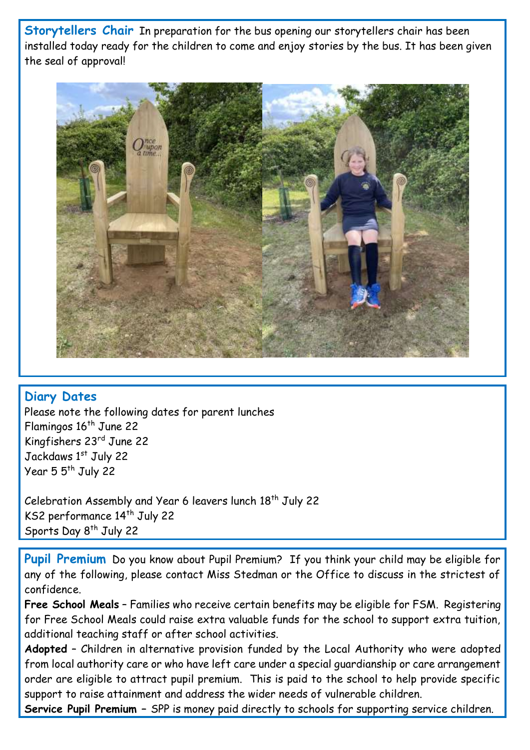**Storytellers Chair** In preparation for the bus opening our storytellers chair has been installed today ready for the children to come and enjoy stories by the bus. It has been given the seal of approval!



## **Diary Dates**

Please note the following dates for parent lunches Flamingos 16<sup>th</sup> June 22 Kingfishers 23rd June 22 Jackdaws 1st July 22 Year 5 5<sup>th</sup> July 22

Celebration Assembly and Year 6 leavers lunch 18<sup>th</sup> July 22 KS2 performance 14<sup>th</sup> July 22 Sports Day 8<sup>th</sup> July 22

**Pupil Premium** Do you know about Pupil Premium? If you think your child may be eligible for any of the following, please contact Miss Stedman or the Office to discuss in the strictest of confidence.

**Free School Meals** – Families who receive certain benefits may be eligible for FSM. Registering for Free School Meals could raise extra valuable funds for the school to support extra tuition, additional teaching staff or after school activities.

**Adopted** – Children in alternative provision funded by the Local Authority who were adopted from local authority care or who have left care under a special guardianship or care arrangement order are eligible to attract pupil premium. This is paid to the school to help provide specific support to raise attainment and address the wider needs of vulnerable children.

**Service Pupil Premium –** SPP is money paid directly to schools for supporting service children.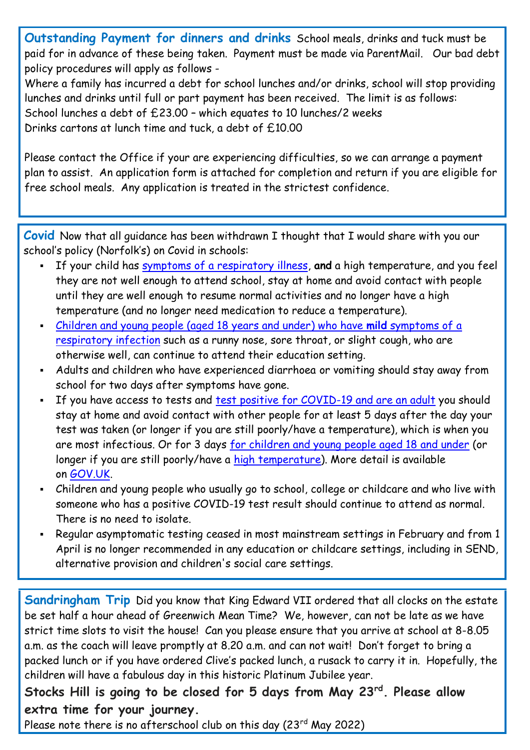**Outstanding Payment for dinners and drinks** School meals, drinks and tuck must be paid for in advance of these being taken. Payment must be made via ParentMail. Our bad debt policy procedures will apply as follows -

Where a family has incurred a debt for school lunches and/or drinks, school will stop providing lunches and drinks until full or part payment has been received. The limit is as follows: School lunches a debt of £23.00 – which equates to 10 lunches/2 weeks Drinks cartons at lunch time and tuck, a debt of £10.00

Please contact the Office if your are experiencing difficulties, so we can arrange a payment plan to assist. An application form is attached for completion and return if you are eligible for free school meals. Any application is treated in the strictest confidence.

**Covid** Now that all guidance has been withdrawn I thought that I would share with you our school's policy (Norfolk's) on Covid in schools:

- If your child has [symptoms of a respiratory illness,](https://www.gov.uk/guidance/people-with-symptoms-of-a-respiratory-infection-including-covid-19#symptoms-of-respiratory-infections-including-covid-19) **and** a high temperature, and you feel they are not well enough to attend school, stay at home and avoid contact with people until they are well enough to resume normal activities and no longer have a high temperature (and no longer need medication to reduce a temperature).
- [Children and young people \(aged 18 years and under\) who have](https://www.gov.uk/guidance/people-with-symptoms-of-a-respiratory-infection-including-covid-19#children-and-young-people-aged-18-years-and-under-who-have-symptoms-of-a-respiratory-infection-including-covid-19) **mild** symptoms of a [respiratory infection](https://www.gov.uk/guidance/people-with-symptoms-of-a-respiratory-infection-including-covid-19#children-and-young-people-aged-18-years-and-under-who-have-symptoms-of-a-respiratory-infection-including-covid-19) such as a runny nose, sore throat, or slight cough, who are otherwise well, can continue to attend their education setting.
- Adults and children who have experienced diarrhoea or vomiting should stay away from school for two days after symptoms have gone.
- If you have access to tests and [test positive for COVID-19 and are an adult](https://www.gov.uk/guidance/people-with-symptoms-of-a-respiratory-infection-including-covid-19#what-to-do-if-you-have-a-positive-covid-19-test-result) you should stay at home and avoid contact with other people for at least 5 days after the day your test was taken (or longer if you are still poorly/have a temperature), which is when you are most infectious. Or for 3 days [for children and young people aged 18 and under](https://www.gov.uk/guidance/people-with-symptoms-of-a-respiratory-infection-including-covid-19#children-and-young-people-aged-18-years-and-under-who-have-symptoms-of-a-respiratory-infection-including-covid-19) (or longer if you are still poorly/have a [high temperature\)](https://www.nhs.uk/conditions/fever-in-children/). More detail is available on [GOV.UK.](https://www.gov.uk/guidance/people-with-symptoms-of-a-respiratory-infection-including-covid-19)
- Children and young people who usually go to school, college or childcare and who live with someone who has a positive COVID-19 test result should continue to attend as normal. There is no need to isolate.
- Regular asymptomatic testing ceased in most mainstream settings in February and from 1 April is no longer recommended in any education or childcare settings, including in SEND, alternative provision and children's social care settings.

**Sandringham Trip** Did you know that King Edward VII ordered that all clocks on the estate be set half a hour ahead of Greenwich Mean Time? We, however, can not be late as we have strict time slots to visit the house! Can you please ensure that you arrive at school at 8-8.05 a.m. as the coach will leave promptly at 8.20 a.m. and can not wait! Don't forget to bring a packed lunch or if you have ordered Clive's packed lunch, a rusack to carry it in. Hopefully, the children will have a fabulous day in this historic Platinum Jubilee year.

## **Stocks Hill is going to be closed for 5 days from May 23rd. Please allow extra time for your journey.**

Please note there is no afterschool club on this day (23rd May 2022)